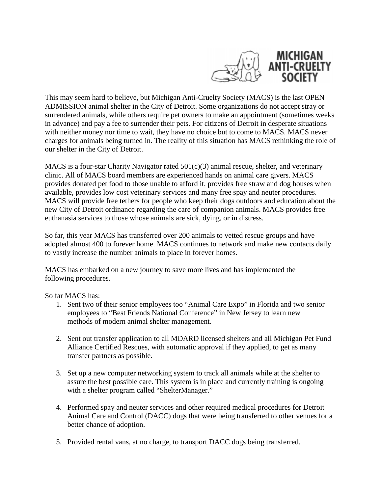

This may seem hard to believe, but Michigan Anti-Cruelty Society (MACS) is the last OPEN ADMISSION animal shelter in the City of Detroit. Some organizations do not accept stray or surrendered animals, while others require pet owners to make an appointment (sometimes weeks in advance) and pay a fee to surrender their pets. For citizens of Detroit in desperate situations with neither money nor time to wait, they have no choice but to come to MACS. MACS never charges for animals being turned in. The reality of this situation has MACS rethinking the role of our shelter in the City of Detroit.

MACS is a four-star Charity Navigator rated 501(c)(3) animal rescue, shelter, and veterinary clinic. All of MACS board members are experienced hands on animal care givers. MACS provides donated pet food to those unable to afford it, provides free straw and dog houses when available, provides low cost veterinary services and many free spay and neuter procedures. MACS will provide free tethers for people who keep their dogs outdoors and education about the new City of Detroit ordinance regarding the care of companion animals. MACS provides free euthanasia services to those whose animals are sick, dying, or in distress.

So far, this year MACS has transferred over 200 animals to vetted rescue groups and have adopted almost 400 to forever home. MACS continues to network and make new contacts daily to vastly increase the number animals to place in forever homes.

MACS has embarked on a new journey to save more lives and has implemented the following procedures.

So far MACS has:

- 1. Sent two of their senior employees too "Animal Care Expo" in Florida and two senior employees to "Best Friends National Conference" in New Jersey to learn new methods of modern animal shelter management.
- 2. Sent out transfer application to all MDARD licensed shelters and all Michigan Pet Fund Alliance Certified Rescues, with automatic approval if they applied, to get as many transfer partners as possible.
- 3. Set up a new computer networking system to track all animals while at the shelter to assure the best possible care. This system is in place and currently training is ongoing with a shelter program called "ShelterManager."
- 4. Performed spay and neuter services and other required medical procedures for Detroit Animal Care and Control (DACC) dogs that were being transferred to other venues for a better chance of adoption.
- 5. Provided rental vans, at no charge, to transport DACC dogs being transferred.